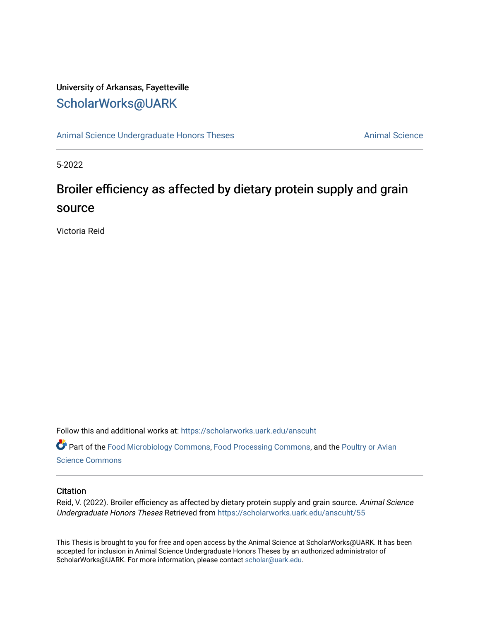# University of Arkansas, Fayetteville [ScholarWorks@UARK](https://scholarworks.uark.edu/)

[Animal Science Undergraduate Honors Theses](https://scholarworks.uark.edu/anscuht) [Animal Science](https://scholarworks.uark.edu/ansc) Animal Science

5-2022

# Broiler efficiency as affected by dietary protein supply and grain source

Victoria Reid

Follow this and additional works at: [https://scholarworks.uark.edu/anscuht](https://scholarworks.uark.edu/anscuht?utm_source=scholarworks.uark.edu%2Fanscuht%2F55&utm_medium=PDF&utm_campaign=PDFCoverPages) 

Part of the [Food Microbiology Commons](http://network.bepress.com/hgg/discipline/86?utm_source=scholarworks.uark.edu%2Fanscuht%2F55&utm_medium=PDF&utm_campaign=PDFCoverPages), [Food Processing Commons](http://network.bepress.com/hgg/discipline/85?utm_source=scholarworks.uark.edu%2Fanscuht%2F55&utm_medium=PDF&utm_campaign=PDFCoverPages), and the Poultry or Avian [Science Commons](http://network.bepress.com/hgg/discipline/80?utm_source=scholarworks.uark.edu%2Fanscuht%2F55&utm_medium=PDF&utm_campaign=PDFCoverPages) 

#### **Citation**

Reid, V. (2022). Broiler efficiency as affected by dietary protein supply and grain source. Animal Science Undergraduate Honors Theses Retrieved from [https://scholarworks.uark.edu/anscuht/55](https://scholarworks.uark.edu/anscuht/55?utm_source=scholarworks.uark.edu%2Fanscuht%2F55&utm_medium=PDF&utm_campaign=PDFCoverPages) 

This Thesis is brought to you for free and open access by the Animal Science at ScholarWorks@UARK. It has been accepted for inclusion in Animal Science Undergraduate Honors Theses by an authorized administrator of ScholarWorks@UARK. For more information, please contact [scholar@uark.edu](mailto:scholar@uark.edu).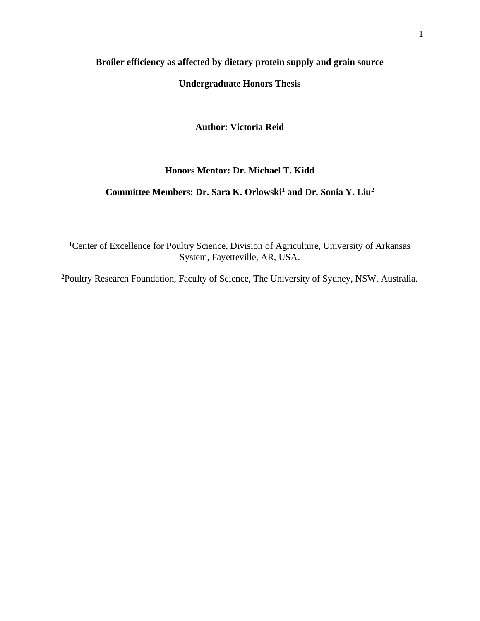### **Broiler efficiency as affected by dietary protein supply and grain source**

### **Undergraduate Honors Thesis**

**Author: Victoria Reid**

### **Honors Mentor: Dr. Michael T. Kidd**

## **Committee Members: Dr. Sara K. Orlowski<sup>1</sup> and Dr. Sonia Y. Liu<sup>2</sup>**

<sup>1</sup>Center of Excellence for Poultry Science, Division of Agriculture, University of Arkansas System, Fayetteville, AR, USA.

2Poultry Research Foundation, Faculty of Science, The University of Sydney, NSW, Australia.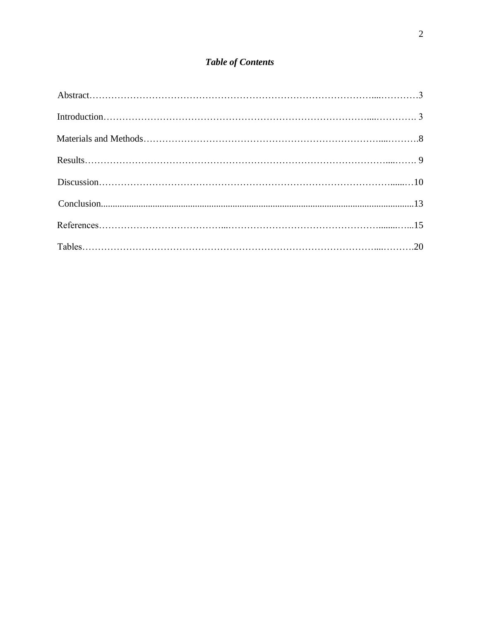# **Table of Contents**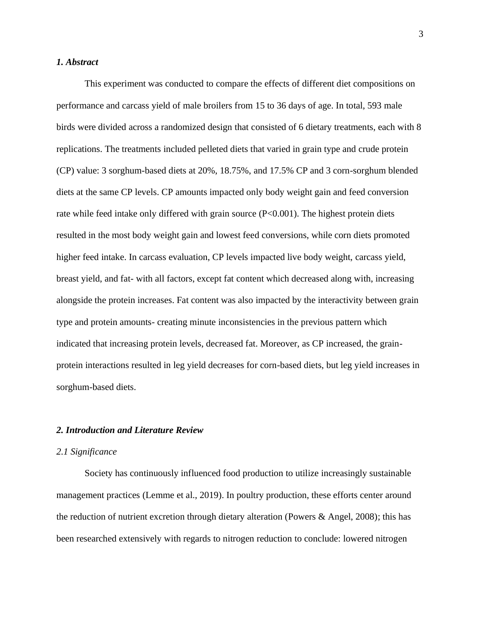#### *1. Abstract*

This experiment was conducted to compare the effects of different diet compositions on performance and carcass yield of male broilers from 15 to 36 days of age. In total, 593 male birds were divided across a randomized design that consisted of 6 dietary treatments, each with 8 replications. The treatments included pelleted diets that varied in grain type and crude protein (CP) value: 3 sorghum-based diets at 20%, 18.75%, and 17.5% CP and 3 corn-sorghum blended diets at the same CP levels. CP amounts impacted only body weight gain and feed conversion rate while feed intake only differed with grain source (P<0.001). The highest protein diets resulted in the most body weight gain and lowest feed conversions, while corn diets promoted higher feed intake. In carcass evaluation, CP levels impacted live body weight, carcass yield, breast yield, and fat- with all factors, except fat content which decreased along with, increasing alongside the protein increases. Fat content was also impacted by the interactivity between grain type and protein amounts- creating minute inconsistencies in the previous pattern which indicated that increasing protein levels, decreased fat. Moreover, as CP increased, the grainprotein interactions resulted in leg yield decreases for corn-based diets, but leg yield increases in sorghum-based diets.

#### *2. Introduction and Literature Review*

#### *2.1 Significance*

Society has continuously influenced food production to utilize increasingly sustainable management practices (Lemme et al., 2019). In poultry production, these efforts center around the reduction of nutrient excretion through dietary alteration (Powers & Angel, 2008); this has been researched extensively with regards to nitrogen reduction to conclude: lowered nitrogen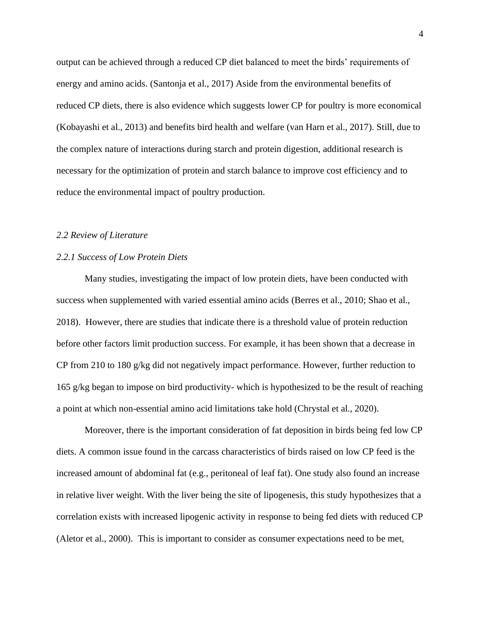output can be achieved through a reduced CP diet balanced to meet the birds' requirements of energy and amino acids. (Santonja et al., 2017) Aside from the environmental benefits of reduced CP diets, there is also evidence which suggests lower CP for poultry is more economical (Kobayashi et al., 2013) and benefits bird health and welfare (van Harn et al., 2017). Still, due to the complex nature of interactions during starch and protein digestion, additional research is necessary for the optimization of protein and starch balance to improve cost efficiency and to reduce the environmental impact of poultry production.

#### *2.2 Review of Literature*

#### *2.2.1 Success of Low Protein Diets*

Many studies, investigating the impact of low protein diets, have been conducted with success when supplemented with varied essential amino acids (Berres et al., 2010; Shao et al., 2018). However, there are studies that indicate there is a threshold value of protein reduction before other factors limit production success. For example, it has been shown that a decrease in CP from 210 to 180 g/kg did not negatively impact performance. However, further reduction to 165 g/kg began to impose on bird productivity- which is hypothesized to be the result of reaching a point at which non-essential amino acid limitations take hold (Chrystal et al., 2020).

Moreover, there is the important consideration of fat deposition in birds being fed low CP diets. A common issue found in the carcass characteristics of birds raised on low CP feed is the increased amount of abdominal fat (e.g., peritoneal of leaf fat). One study also found an increase in relative liver weight. With the liver being the site of lipogenesis, this study hypothesizes that a correlation exists with increased lipogenic activity in response to being fed diets with reduced CP (Aletor et al., 2000). This is important to consider as consumer expectations need to be met,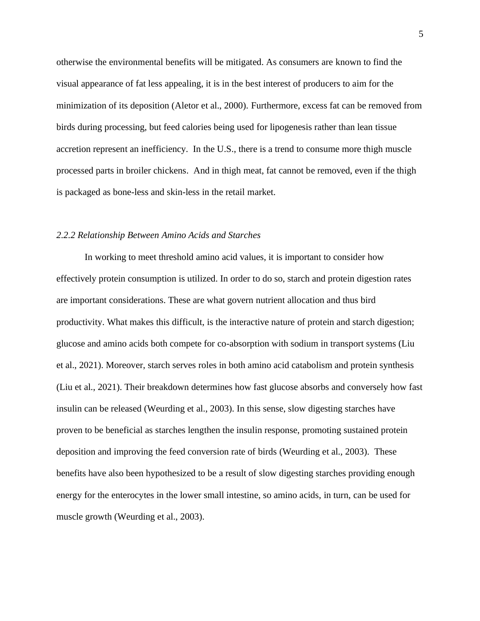otherwise the environmental benefits will be mitigated. As consumers are known to find the visual appearance of fat less appealing, it is in the best interest of producers to aim for the minimization of its deposition (Aletor et al., 2000). Furthermore, excess fat can be removed from birds during processing, but feed calories being used for lipogenesis rather than lean tissue accretion represent an inefficiency. In the U.S., there is a trend to consume more thigh muscle processed parts in broiler chickens. And in thigh meat, fat cannot be removed, even if the thigh is packaged as bone-less and skin-less in the retail market.

#### *2.2.2 Relationship Between Amino Acids and Starches*

In working to meet threshold amino acid values, it is important to consider how effectively protein consumption is utilized. In order to do so, starch and protein digestion rates are important considerations. These are what govern nutrient allocation and thus bird productivity. What makes this difficult, is the interactive nature of protein and starch digestion; glucose and amino acids both compete for co-absorption with sodium in transport systems (Liu et al., 2021). Moreover, starch serves roles in both amino acid catabolism and protein synthesis (Liu et al., 2021). Their breakdown determines how fast glucose absorbs and conversely how fast insulin can be released (Weurding et al., 2003). In this sense, slow digesting starches have proven to be beneficial as starches lengthen the insulin response, promoting sustained protein deposition and improving the feed conversion rate of birds (Weurding et al., 2003). These benefits have also been hypothesized to be a result of slow digesting starches providing enough energy for the enterocytes in the lower small intestine, so amino acids, in turn, can be used for muscle growth (Weurding et al., 2003).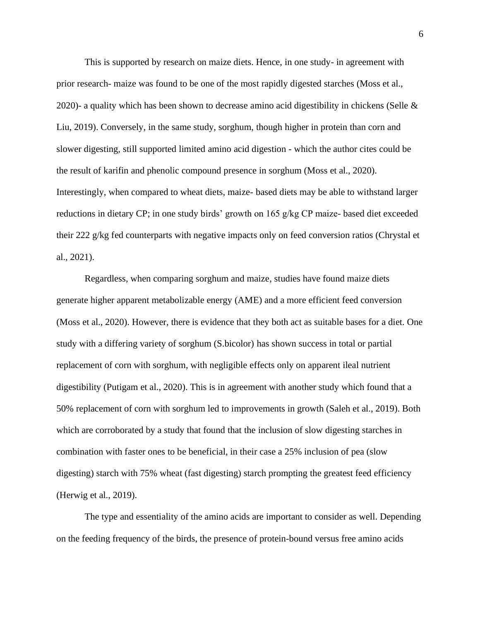This is supported by research on maize diets. Hence, in one study- in agreement with prior research- maize was found to be one of the most rapidly digested starches (Moss et al., 2020)- a quality which has been shown to decrease amino acid digestibility in chickens (Selle  $\&$ Liu, 2019). Conversely, in the same study, sorghum, though higher in protein than corn and slower digesting, still supported limited amino acid digestion - which the author cites could be the result of karifin and phenolic compound presence in sorghum (Moss et al., 2020). Interestingly, when compared to wheat diets, maize- based diets may be able to withstand larger reductions in dietary CP; in one study birds' growth on 165 g/kg CP maize- based diet exceeded their 222 g/kg fed counterparts with negative impacts only on feed conversion ratios (Chrystal et al., 2021).

Regardless, when comparing sorghum and maize, studies have found maize diets generate higher apparent metabolizable energy (AME) and a more efficient feed conversion (Moss et al., 2020). However, there is evidence that they both act as suitable bases for a diet. One study with a differing variety of sorghum (S.bicolor) has shown success in total or partial replacement of corn with sorghum, with negligible effects only on apparent ileal nutrient digestibility (Putigam et al., 2020). This is in agreement with another study which found that a 50% replacement of corn with sorghum led to improvements in growth (Saleh et al., 2019). Both which are corroborated by a study that found that the inclusion of slow digesting starches in combination with faster ones to be beneficial, in their case a 25% inclusion of pea (slow digesting) starch with 75% wheat (fast digesting) starch prompting the greatest feed efficiency (Herwig et al., 2019).

The type and essentiality of the amino acids are important to consider as well. Depending on the feeding frequency of the birds, the presence of protein-bound versus free amino acids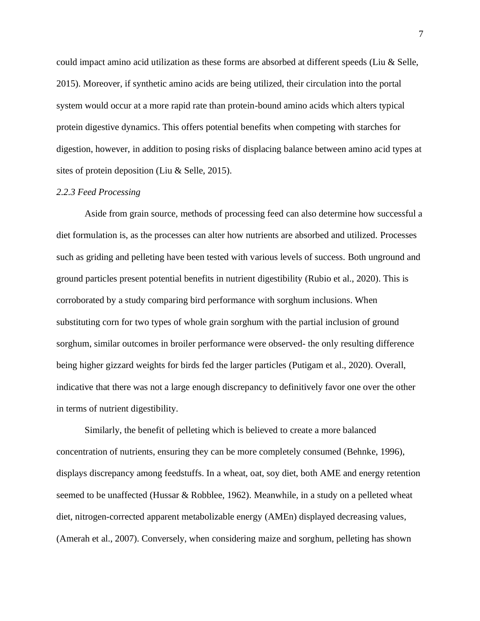could impact amino acid utilization as these forms are absorbed at different speeds (Liu & Selle, 2015). Moreover, if synthetic amino acids are being utilized, their circulation into the portal system would occur at a more rapid rate than protein-bound amino acids which alters typical protein digestive dynamics. This offers potential benefits when competing with starches for digestion, however, in addition to posing risks of displacing balance between amino acid types at sites of protein deposition (Liu & Selle, 2015).

#### *2.2.3 Feed Processing*

Aside from grain source, methods of processing feed can also determine how successful a diet formulation is, as the processes can alter how nutrients are absorbed and utilized. Processes such as griding and pelleting have been tested with various levels of success. Both unground and ground particles present potential benefits in nutrient digestibility (Rubio et al., 2020). This is corroborated by a study comparing bird performance with sorghum inclusions. When substituting corn for two types of whole grain sorghum with the partial inclusion of ground sorghum, similar outcomes in broiler performance were observed- the only resulting difference being higher gizzard weights for birds fed the larger particles (Putigam et al., 2020). Overall, indicative that there was not a large enough discrepancy to definitively favor one over the other in terms of nutrient digestibility.

Similarly, the benefit of pelleting which is believed to create a more balanced concentration of nutrients, ensuring they can be more completely consumed (Behnke, 1996), displays discrepancy among feedstuffs. In a wheat, oat, soy diet, both AME and energy retention seemed to be unaffected (Hussar & Robblee, 1962). Meanwhile, in a study on a pelleted wheat diet, nitrogen-corrected apparent metabolizable energy (AMEn) displayed decreasing values, (Amerah et al., 2007). Conversely, when considering maize and sorghum, pelleting has shown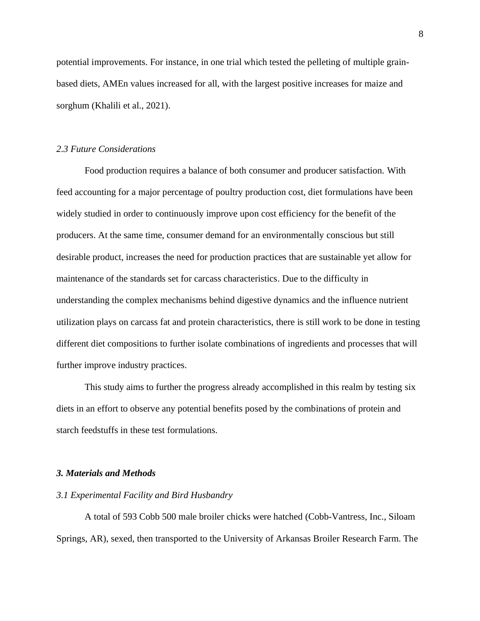potential improvements. For instance, in one trial which tested the pelleting of multiple grainbased diets, AMEn values increased for all, with the largest positive increases for maize and sorghum (Khalili et al., 2021).

#### *2.3 Future Considerations*

Food production requires a balance of both consumer and producer satisfaction. With feed accounting for a major percentage of poultry production cost, diet formulations have been widely studied in order to continuously improve upon cost efficiency for the benefit of the producers. At the same time, consumer demand for an environmentally conscious but still desirable product, increases the need for production practices that are sustainable yet allow for maintenance of the standards set for carcass characteristics. Due to the difficulty in understanding the complex mechanisms behind digestive dynamics and the influence nutrient utilization plays on carcass fat and protein characteristics, there is still work to be done in testing different diet compositions to further isolate combinations of ingredients and processes that will further improve industry practices.

This study aims to further the progress already accomplished in this realm by testing six diets in an effort to observe any potential benefits posed by the combinations of protein and starch feedstuffs in these test formulations.

#### *3. Materials and Methods*

#### *3.1 Experimental Facility and Bird Husbandry*

A total of 593 Cobb 500 male broiler chicks were hatched (Cobb-Vantress, Inc., Siloam Springs, AR), sexed, then transported to the University of Arkansas Broiler Research Farm. The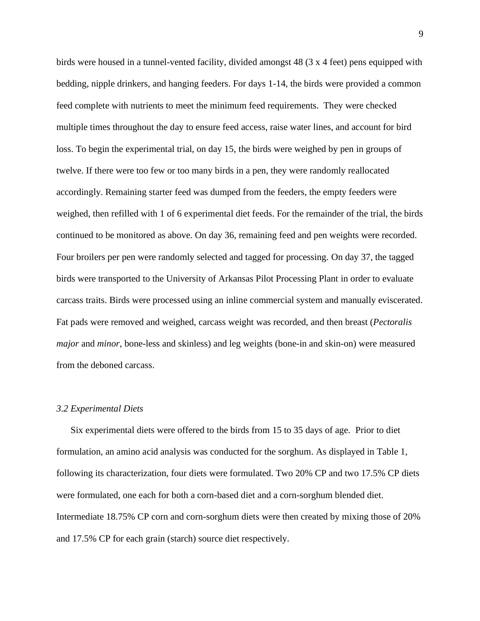birds were housed in a tunnel-vented facility, divided amongst 48 (3 x 4 feet) pens equipped with bedding, nipple drinkers, and hanging feeders. For days 1-14, the birds were provided a common feed complete with nutrients to meet the minimum feed requirements. They were checked multiple times throughout the day to ensure feed access, raise water lines, and account for bird loss. To begin the experimental trial, on day 15, the birds were weighed by pen in groups of twelve. If there were too few or too many birds in a pen, they were randomly reallocated accordingly. Remaining starter feed was dumped from the feeders, the empty feeders were weighed, then refilled with 1 of 6 experimental diet feeds. For the remainder of the trial, the birds continued to be monitored as above. On day 36, remaining feed and pen weights were recorded. Four broilers per pen were randomly selected and tagged for processing. On day 37, the tagged birds were transported to the University of Arkansas Pilot Processing Plant in order to evaluate carcass traits. Birds were processed using an inline commercial system and manually eviscerated. Fat pads were removed and weighed, carcass weight was recorded, and then breast (*Pectoralis major* and *minor*, bone-less and skinless) and leg weights (bone-in and skin-on) were measured from the deboned carcass.

#### *3.2 Experimental Diets*

Six experimental diets were offered to the birds from 15 to 35 days of age. Prior to diet formulation, an amino acid analysis was conducted for the sorghum. As displayed in Table 1, following its characterization, four diets were formulated. Two 20% CP and two 17.5% CP diets were formulated, one each for both a corn-based diet and a corn-sorghum blended diet. Intermediate 18.75% CP corn and corn-sorghum diets were then created by mixing those of 20% and 17.5% CP for each grain (starch) source diet respectively.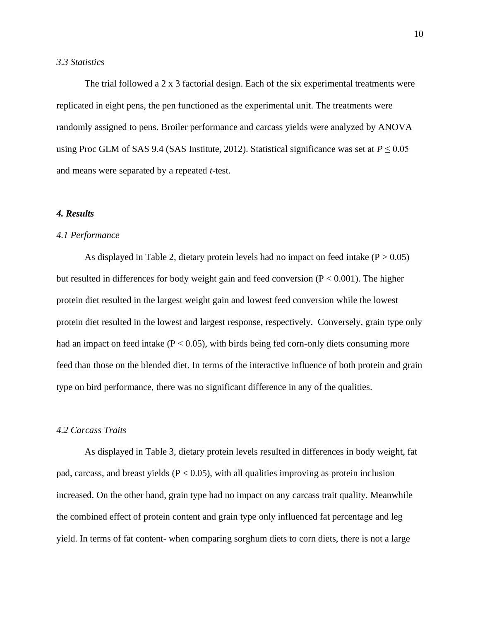#### *3.3 Statistics*

The trial followed a 2 x 3 factorial design. Each of the six experimental treatments were replicated in eight pens, the pen functioned as the experimental unit. The treatments were randomly assigned to pens. Broiler performance and carcass yields were analyzed by ANOVA using Proc GLM of SAS 9.4 (SAS Institute, 2012). Statistical significance was set at  $P \le 0.05$ and means were separated by a repeated *t*-test.

#### *4. Results*

#### *4.1 Performance*

As displayed in Table 2, dietary protein levels had no impact on feed intake  $(P > 0.05)$ but resulted in differences for body weight gain and feed conversion  $(P < 0.001)$ . The higher protein diet resulted in the largest weight gain and lowest feed conversion while the lowest protein diet resulted in the lowest and largest response, respectively. Conversely, grain type only had an impact on feed intake ( $P < 0.05$ ), with birds being fed corn-only diets consuming more feed than those on the blended diet. In terms of the interactive influence of both protein and grain type on bird performance, there was no significant difference in any of the qualities.

#### *4.2 Carcass Traits*

As displayed in Table 3, dietary protein levels resulted in differences in body weight, fat pad, carcass, and breast yields ( $P < 0.05$ ), with all qualities improving as protein inclusion increased. On the other hand, grain type had no impact on any carcass trait quality. Meanwhile the combined effect of protein content and grain type only influenced fat percentage and leg yield. In terms of fat content- when comparing sorghum diets to corn diets, there is not a large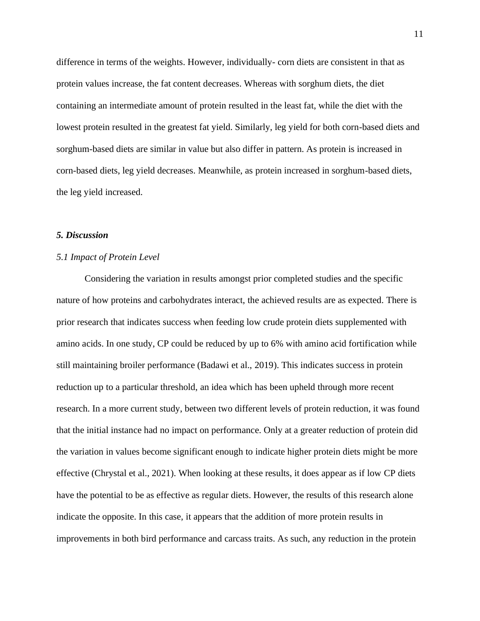difference in terms of the weights. However, individually- corn diets are consistent in that as protein values increase, the fat content decreases. Whereas with sorghum diets, the diet containing an intermediate amount of protein resulted in the least fat, while the diet with the lowest protein resulted in the greatest fat yield. Similarly, leg yield for both corn-based diets and sorghum-based diets are similar in value but also differ in pattern. As protein is increased in corn-based diets, leg yield decreases. Meanwhile, as protein increased in sorghum-based diets, the leg yield increased.

#### *5. Discussion*

#### *5.1 Impact of Protein Level*

Considering the variation in results amongst prior completed studies and the specific nature of how proteins and carbohydrates interact, the achieved results are as expected. There is prior research that indicates success when feeding low crude protein diets supplemented with amino acids. In one study, CP could be reduced by up to 6% with amino acid fortification while still maintaining broiler performance (Badawi et al., 2019). This indicates success in protein reduction up to a particular threshold, an idea which has been upheld through more recent research. In a more current study, between two different levels of protein reduction, it was found that the initial instance had no impact on performance. Only at a greater reduction of protein did the variation in values become significant enough to indicate higher protein diets might be more effective (Chrystal et al., 2021). When looking at these results, it does appear as if low CP diets have the potential to be as effective as regular diets. However, the results of this research alone indicate the opposite. In this case, it appears that the addition of more protein results in improvements in both bird performance and carcass traits. As such, any reduction in the protein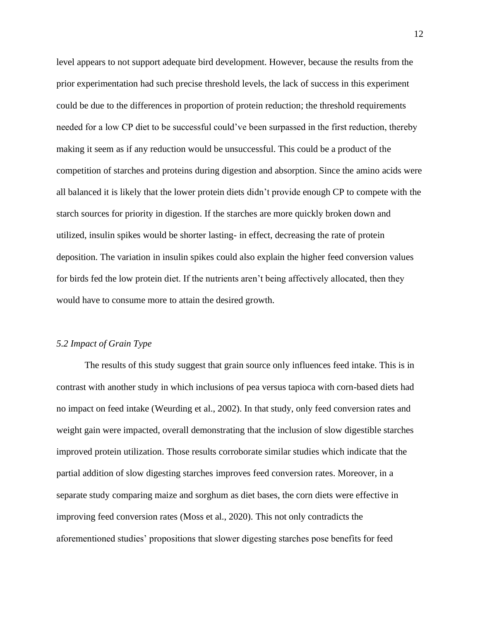level appears to not support adequate bird development. However, because the results from the prior experimentation had such precise threshold levels, the lack of success in this experiment could be due to the differences in proportion of protein reduction; the threshold requirements needed for a low CP diet to be successful could've been surpassed in the first reduction, thereby making it seem as if any reduction would be unsuccessful. This could be a product of the competition of starches and proteins during digestion and absorption. Since the amino acids were all balanced it is likely that the lower protein diets didn't provide enough CP to compete with the starch sources for priority in digestion. If the starches are more quickly broken down and utilized, insulin spikes would be shorter lasting- in effect, decreasing the rate of protein deposition. The variation in insulin spikes could also explain the higher feed conversion values for birds fed the low protein diet. If the nutrients aren't being affectively allocated, then they would have to consume more to attain the desired growth.

#### *5.2 Impact of Grain Type*

The results of this study suggest that grain source only influences feed intake. This is in contrast with another study in which inclusions of pea versus tapioca with corn-based diets had no impact on feed intake (Weurding et al., 2002). In that study, only feed conversion rates and weight gain were impacted, overall demonstrating that the inclusion of slow digestible starches improved protein utilization. Those results corroborate similar studies which indicate that the partial addition of slow digesting starches improves feed conversion rates. Moreover, in a separate study comparing maize and sorghum as diet bases, the corn diets were effective in improving feed conversion rates (Moss et al., 2020). This not only contradicts the aforementioned studies' propositions that slower digesting starches pose benefits for feed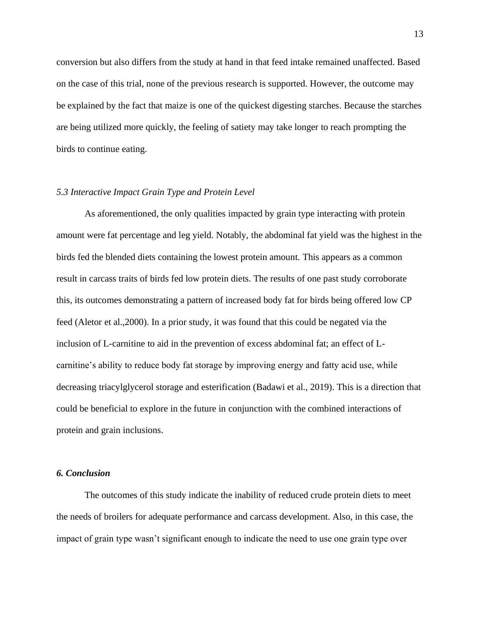conversion but also differs from the study at hand in that feed intake remained unaffected. Based on the case of this trial, none of the previous research is supported. However, the outcome may be explained by the fact that maize is one of the quickest digesting starches. Because the starches are being utilized more quickly, the feeling of satiety may take longer to reach prompting the birds to continue eating.

#### *5.3 Interactive Impact Grain Type and Protein Level*

As aforementioned, the only qualities impacted by grain type interacting with protein amount were fat percentage and leg yield. Notably, the abdominal fat yield was the highest in the birds fed the blended diets containing the lowest protein amount. This appears as a common result in carcass traits of birds fed low protein diets. The results of one past study corroborate this, its outcomes demonstrating a pattern of increased body fat for birds being offered low CP feed (Aletor et al.,2000). In a prior study, it was found that this could be negated via the inclusion of L-carnitine to aid in the prevention of excess abdominal fat; an effect of Lcarnitine's ability to reduce body fat storage by improving energy and fatty acid use, while decreasing triacylglycerol storage and esterification (Badawi et al., 2019). This is a direction that could be beneficial to explore in the future in conjunction with the combined interactions of protein and grain inclusions.

#### *6. Conclusion*

The outcomes of this study indicate the inability of reduced crude protein diets to meet the needs of broilers for adequate performance and carcass development. Also, in this case, the impact of grain type wasn't significant enough to indicate the need to use one grain type over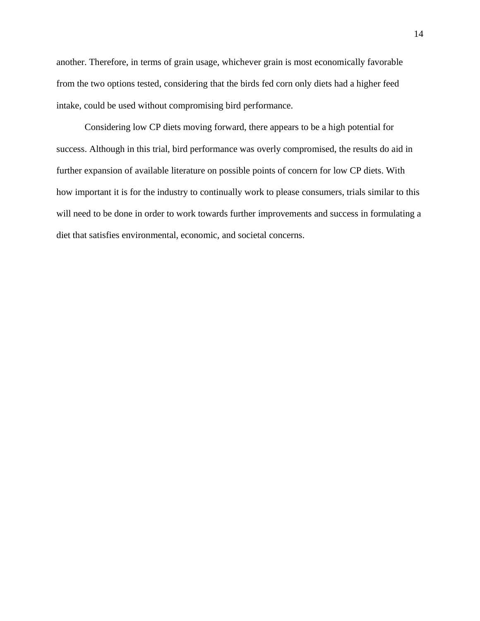another. Therefore, in terms of grain usage, whichever grain is most economically favorable from the two options tested, considering that the birds fed corn only diets had a higher feed intake, could be used without compromising bird performance.

Considering low CP diets moving forward, there appears to be a high potential for success. Although in this trial, bird performance was overly compromised, the results do aid in further expansion of available literature on possible points of concern for low CP diets. With how important it is for the industry to continually work to please consumers, trials similar to this will need to be done in order to work towards further improvements and success in formulating a diet that satisfies environmental, economic, and societal concerns.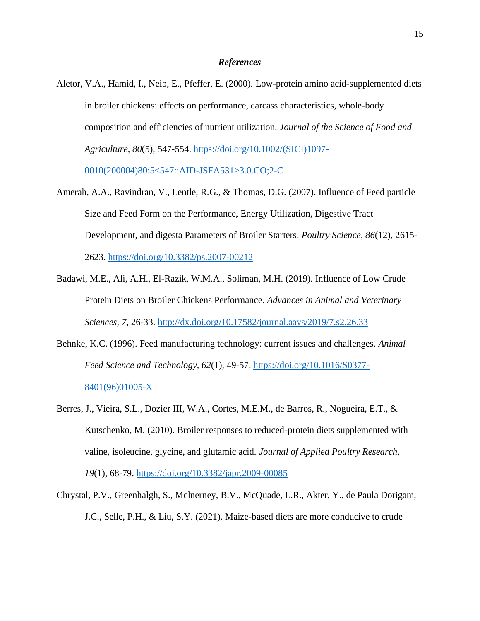#### *References*

Aletor, V.A., Hamid, I., Neib, E., Pfeffer, E. (2000). Low-protein amino acid-supplemented diets in broiler chickens: effects on performance, carcass characteristics, whole-body composition and efficiencies of nutrient utilization. *Journal of the Science of Food and Agriculture, 80*(5), 547-554. [https://doi.org/10.1002/\(SICI\)1097-](https://doi.org/10.1002/(SICI)1097-0010(200004)80:5%3c547::AID-JSFA531%3e3.0.CO;2-C)

[0010\(200004\)80:5<547::AID-JSFA531>3.0.CO;2-C](https://doi.org/10.1002/(SICI)1097-0010(200004)80:5%3c547::AID-JSFA531%3e3.0.CO;2-C)

- Amerah, A.A., Ravindran, V., Lentle, R.G., & Thomas, D.G. (2007). Influence of Feed particle Size and Feed Form on the Performance, Energy Utilization, Digestive Tract Development, and digesta Parameters of Broiler Starters. *Poultry Science, 86*(12), 2615- 2623.<https://doi.org/10.3382/ps.2007-00212>
- Badawi, M.E., Ali, A.H., El-Razik, W.M.A., Soliman, M.H. (2019). Influence of Low Crude Protein Diets on Broiler Chickens Performance. *Advances in Animal and Veterinary Sciences, 7*, 26-33.<http://dx.doi.org/10.17582/journal.aavs/2019/7.s2.26.33>
- Behnke, K.C. (1996). Feed manufacturing technology: current issues and challenges. *Animal Feed Science and Technology, 62*(1), 49-57. [https://doi.org/10.1016/S0377-](https://doi.org/10.1016/S0377-8401(96)01005-X) [8401\(96\)01005-X](https://doi.org/10.1016/S0377-8401(96)01005-X)
- Berres, J., Vieira, S.L., Dozier III, W.A., Cortes, M.E.M., de Barros, R., Nogueira, E.T., & Kutschenko, M. (2010). Broiler responses to reduced-protein diets supplemented with valine, isoleucine, glycine, and glutamic acid. *Journal of Applied Poultry Research, 19*(1), 68-79.<https://doi.org/10.3382/japr.2009-00085>
- Chrystal, P.V., Greenhalgh, S., Mclnerney, B.V., McQuade, L.R., Akter, Y., de Paula Dorigam, J.C., Selle, P.H., & Liu, S.Y. (2021). Maize-based diets are more conducive to crude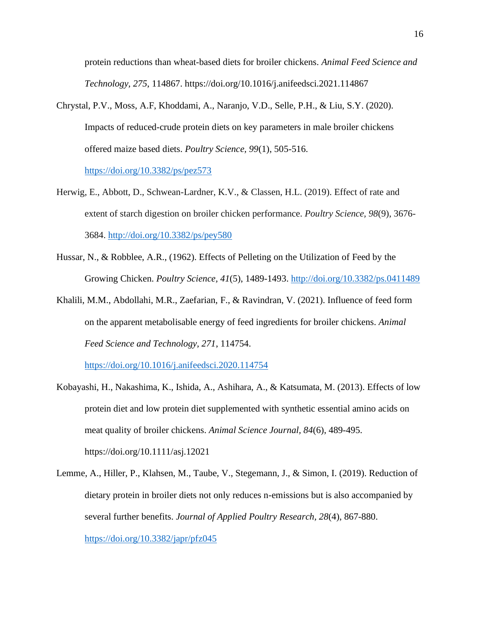protein reductions than wheat-based diets for broiler chickens. *Animal Feed Science and Technology, 275*, 114867. https://doi.org/10.1016/j.anifeedsci.2021.114867

Chrystal, P.V., Moss, A.F, Khoddami, A., Naranjo, V.D., Selle, P.H., & Liu, S.Y. (2020). Impacts of reduced-crude protein diets on key parameters in male broiler chickens offered maize based diets. *Poultry Science, 99*(1), 505-516.

<https://doi.org/10.3382/ps/pez573>

- Herwig, E., Abbott, D., Schwean-Lardner, K.V., & Classen, H.L. (2019). Effect of rate and extent of starch digestion on broiler chicken performance. *Poultry Science, 98*(9), 3676- 3684.<http://doi.org/10.3382/ps/pey580>
- Hussar, N., & Robblee, A.R., (1962). Effects of Pelleting on the Utilization of Feed by the Growing Chicken. *Poultry Science, 41*(5), 1489-1493.<http://doi.org/10.3382/ps.0411489>
- Khalili, M.M., Abdollahi, M.R., Zaefarian, F., & Ravindran, V. (2021). Influence of feed form on the apparent metabolisable energy of feed ingredients for broiler chickens. *Animal Feed Science and Technology, 271*, 114754.

<https://doi.org/10.1016/j.anifeedsci.2020.114754>

- Kobayashi, H., Nakashima, K., Ishida, A., Ashihara, A., & Katsumata, M. (2013). Effects of low protein diet and low protein diet supplemented with synthetic essential amino acids on meat quality of broiler chickens. *Animal Science Journal, 84*(6), 489-495. https://doi.org/10.1111/asj.12021
- Lemme, A., Hiller, P., Klahsen, M., Taube, V., Stegemann, J., & Simon, I. (2019). Reduction of dietary protein in broiler diets not only reduces n-emissions but is also accompanied by several further benefits. *Journal of Applied Poultry Research, 28*(4), 867-880. <https://doi.org/10.3382/japr/pfz045>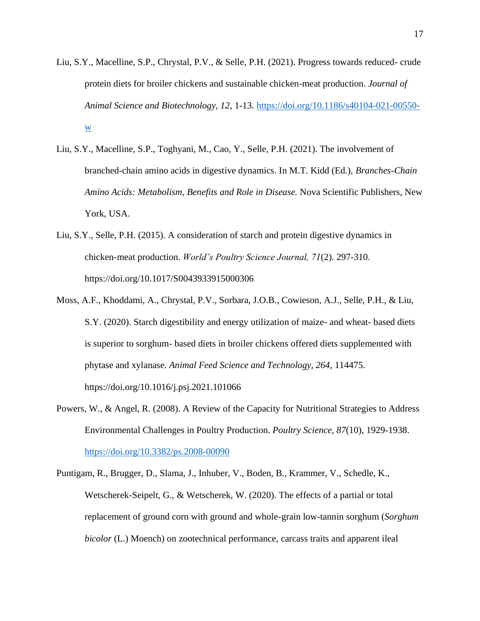- Liu, S.Y., Macelline, S.P., Chrystal, P.V., & Selle, P.H. (2021). Progress towards reduced- crude protein diets for broiler chickens and sustainable chicken-meat production. *Journal of Animal Science and Biotechnology, 12*, 1-13. [https://doi.org/10.1186/s40104-021-00550](https://doi.org/10.1186/s40104-021-00550-w) [w](https://doi.org/10.1186/s40104-021-00550-w)
- Liu, S.Y., Macelline, S.P., Toghyani, M., Cao, Y., Selle, P.H. (2021). The involvement of branched-chain amino acids in digestive dynamics. In M.T. Kidd (Ed.), *Branches-Chain Amino Acids: Metabolism, Benefits and Role in Disease.* Nova Scientific Publishers, New York, USA.
- Liu, S.Y., Selle, P.H. (2015). A consideration of starch and protein digestive dynamics in chicken-meat production. *World's Poultry Science Journal, 71*(2). 297-310. https://doi.org/10.1017/S0043933915000306
- Moss, A.F., Khoddami, A., Chrystal, P.V., Sorbara, J.O.B., Cowieson, A.J., Selle, P.H., & Liu, S.Y. (2020). Starch digestibility and energy utilization of maize- and wheat- based diets is superior to sorghum- based diets in broiler chickens offered diets supplemented with phytase and xylanase. *Animal Feed Science and Technology, 264*, 114475. https://doi.org/10.1016/j.psj.2021.101066
- Powers, W., & Angel, R. (2008). A Review of the Capacity for Nutritional Strategies to Address Environmental Challenges in Poultry Production. *Poultry Science, 87*(10), 1929-1938. <https://doi.org/10.3382/ps.2008-00090>
- Puntigam, R., Brugger, D., Slama, J., Inhuber, V., Boden, B., Krammer, V., Schedle, K., Wetscherek-Seipelt, G., & Wetscherek, W. (2020). The effects of a partial or total replacement of ground corn with ground and whole-grain low-tannin sorghum (*Sorghum bicolor* (L.) Moench) on zootechnical performance, carcass traits and apparent ileal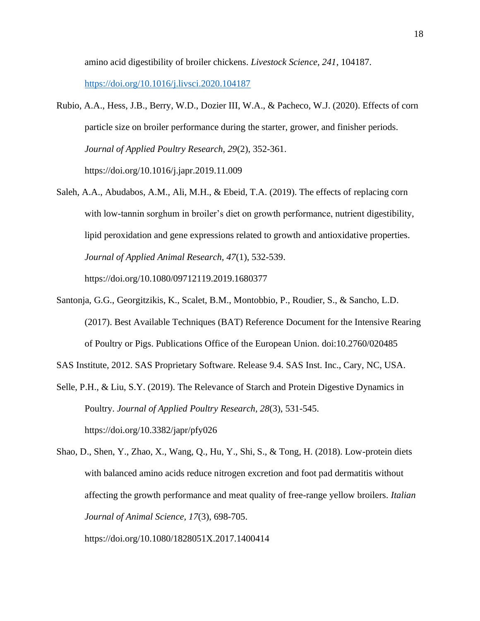amino acid digestibility of broiler chickens. *Livestock Science, 241*, 104187.

<https://doi.org/10.1016/j.livsci.2020.104187>

- Rubio, A.A., Hess, J.B., Berry, W.D., Dozier III, W.A., & Pacheco, W.J. (2020). Effects of corn particle size on broiler performance during the starter, grower, and finisher periods. *Journal of Applied Poultry Research, 29*(2), 352-361. https://doi.org/10.1016/j.japr.2019.11.009
- Saleh, A.A., Abudabos, A.M., Ali, M.H., & Ebeid, T.A. (2019). The effects of replacing corn with low-tannin sorghum in broiler's diet on growth performance, nutrient digestibility, lipid peroxidation and gene expressions related to growth and antioxidative properties. *Journal of Applied Animal Research, 47*(1), 532-539. https://doi.org/10.1080/09712119.2019.1680377
- Santonja, G.G., Georgitzikis, K., Scalet, B.M., Montobbio, P., Roudier, S., & Sancho, L.D. (2017). Best Available Techniques (BAT) Reference Document for the Intensive Rearing of Poultry or Pigs. Publications Office of the European Union. doi:10.2760/020485

SAS Institute, 2012. SAS Proprietary Software. Release 9.4. SAS Inst. Inc., Cary, NC, USA.

- Selle, P.H., & Liu, S.Y. (2019). The Relevance of Starch and Protein Digestive Dynamics in Poultry. *Journal of Applied Poultry Research, 28*(3), 531-545. https://doi.org/10.3382/japr/pfy026
- Shao, D., Shen, Y., Zhao, X., Wang, Q., Hu, Y., Shi, S., & Tong, H. (2018). Low-protein diets with balanced amino acids reduce nitrogen excretion and foot pad dermatitis without affecting the growth performance and meat quality of free-range yellow broilers. *Italian Journal of Animal Science, 17*(3), 698-705.

https://doi.org/10.1080/1828051X.2017.1400414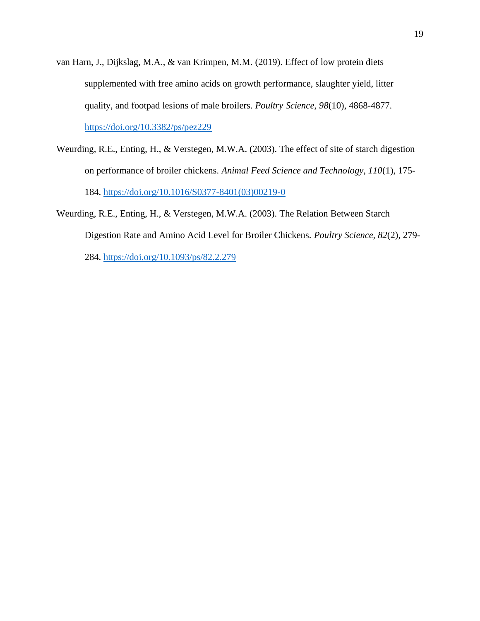- van Harn, J., Dijkslag, M.A., & van Krimpen, M.M. (2019). Effect of low protein diets supplemented with free amino acids on growth performance, slaughter yield, litter quality, and footpad lesions of male broilers. *Poultry Science, 98*(10), 4868-4877. <https://doi.org/10.3382/ps/pez229>
- Weurding, R.E., Enting, H., & Verstegen, M.W.A. (2003). The effect of site of starch digestion on performance of broiler chickens. *Animal Feed Science and Technology, 110*(1), 175- 184. [https://doi.org/10.1016/S0377-8401\(03\)00219-0](https://doi.org/10.1016/S0377-8401(03)00219-0)
- Weurding, R.E., Enting, H., & Verstegen, M.W.A. (2003). The Relation Between Starch Digestion Rate and Amino Acid Level for Broiler Chickens. *Poultry Science, 82*(2), 279- 284.<https://doi.org/10.1093/ps/82.2.279>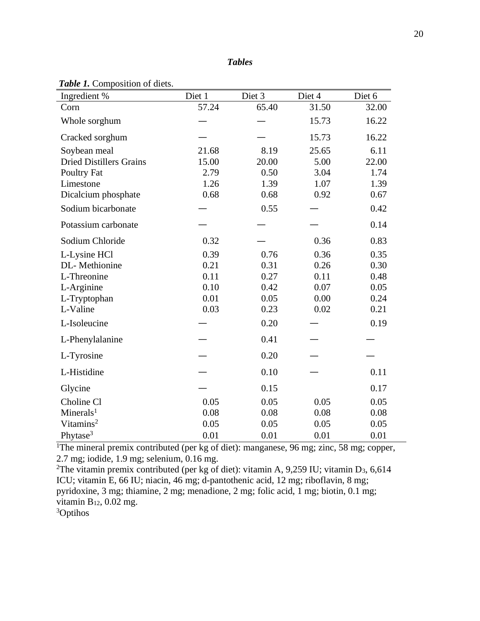| Ingredient %                   | Diet 1 | Diet 3 | Diet 4 | Diet 6 |
|--------------------------------|--------|--------|--------|--------|
| Corn                           | 57.24  | 65.40  | 31.50  | 32.00  |
| Whole sorghum                  |        |        | 15.73  | 16.22  |
| Cracked sorghum                |        |        | 15.73  | 16.22  |
| Soybean meal                   | 21.68  | 8.19   | 25.65  | 6.11   |
| <b>Dried Distillers Grains</b> | 15.00  | 20.00  | 5.00   | 22.00  |
| Poultry Fat                    | 2.79   | 0.50   | 3.04   | 1.74   |
| Limestone                      | 1.26   | 1.39   | 1.07   | 1.39   |
| Dicalcium phosphate            | 0.68   | 0.68   | 0.92   | 0.67   |
| Sodium bicarbonate             |        | 0.55   |        | 0.42   |
| Potassium carbonate            |        |        |        | 0.14   |
| Sodium Chloride                | 0.32   |        | 0.36   | 0.83   |
| L-Lysine HCl                   | 0.39   | 0.76   | 0.36   | 0.35   |
| DL-Methionine                  | 0.21   | 0.31   | 0.26   | 0.30   |
| L-Threonine                    | 0.11   | 0.27   | 0.11   | 0.48   |
| L-Arginine                     | 0.10   | 0.42   | 0.07   | 0.05   |
| L-Tryptophan                   | 0.01   | 0.05   | 0.00   | 0.24   |
| L-Valine                       | 0.03   | 0.23   | 0.02   | 0.21   |
| L-Isoleucine                   |        | 0.20   |        | 0.19   |
| L-Phenylalanine                |        | 0.41   |        |        |
| L-Tyrosine                     |        | 0.20   |        |        |
| L-Histidine                    |        | 0.10   |        | 0.11   |
| Glycine                        |        | 0.15   |        | 0.17   |
| Choline Cl                     | 0.05   | 0.05   | 0.05   | 0.05   |
| Minerals <sup>1</sup>          | 0.08   | 0.08   | 0.08   | 0.08   |
| Vitamins <sup>2</sup>          | 0.05   | 0.05   | 0.05   | 0.05   |
| Phytase <sup>3</sup>           | 0.01   | 0.01   | 0.01   | 0.01   |

#### *Table 1.* Composition of diets.

<sup>1</sup>The mineral premix contributed (per kg of diet): manganese, 96 mg; zinc, 58 mg; copper, 2.7 mg; iodide, 1.9 mg; selenium, 0.16 mg.

<sup>2</sup>The vitamin premix contributed (per kg of diet): vitamin A, 9,259 IU; vitamin D<sub>3</sub>, 6,614 ICU; vitamin E, 66 IU; niacin, 46 mg; d-pantothenic acid, 12 mg; riboflavin, 8 mg; pyridoxine, 3 mg; thiamine, 2 mg; menadione, 2 mg; folic acid, 1 mg; biotin, 0.1 mg; vitamin  $B_{12}$ , 0.02 mg.

3Optihos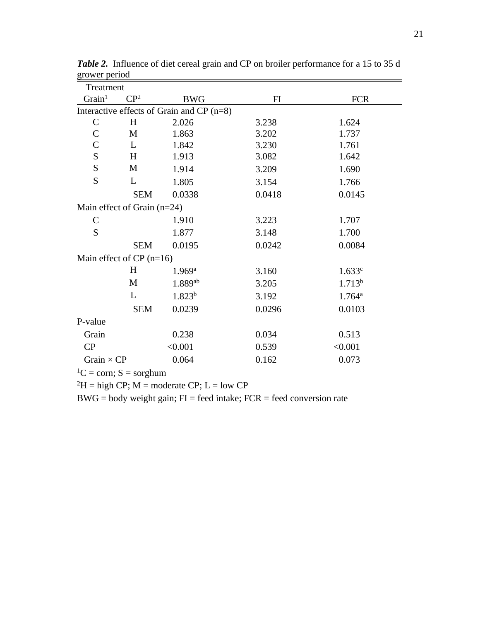| Treatment                                 |                               |                    |        |                      |  |  |
|-------------------------------------------|-------------------------------|--------------------|--------|----------------------|--|--|
| Grain <sup>1</sup>                        | CP <sup>2</sup><br><b>BWG</b> |                    | FI     | <b>FCR</b>           |  |  |
| Interactive effects of Grain and CP (n=8) |                               |                    |        |                      |  |  |
| $\mathsf{C}$                              | H                             | 2.026              | 3.238  | 1.624                |  |  |
| $\mathsf{C}$                              | M                             | 1.863              | 3.202  | 1.737                |  |  |
| $\overline{C}$                            | L                             | 1.842              | 3.230  | 1.761                |  |  |
| S                                         | H                             | 1.913              | 3.082  | 1.642                |  |  |
| S                                         | M                             | 1.914              | 3.209  | 1.690                |  |  |
| S                                         | L                             | 1.805              | 3.154  | 1.766                |  |  |
|                                           | <b>SEM</b>                    | 0.0338             | 0.0418 | 0.0145               |  |  |
|                                           | Main effect of Grain $(n=24)$ |                    |        |                      |  |  |
| $\mathsf{C}$                              |                               | 1.910              | 3.223  | 1.707                |  |  |
| S                                         |                               | 1.877              | 3.148  | 1.700                |  |  |
|                                           | <b>SEM</b>                    | 0.0195             | 0.0242 | 0.0084               |  |  |
| Main effect of $CP$ (n=16)                |                               |                    |        |                      |  |  |
|                                           | H                             | 1.969a             | 3.160  | 1.633c               |  |  |
|                                           | M                             | 1.889ab            | 3.205  | 1.713 <sup>b</sup>   |  |  |
|                                           | L                             | 1.823 <sup>b</sup> | 3.192  | $1.764$ <sup>a</sup> |  |  |
|                                           | <b>SEM</b>                    | 0.0239             | 0.0296 | 0.0103               |  |  |
| P-value                                   |                               |                    |        |                      |  |  |
| Grain                                     |                               | 0.238              | 0.034  | 0.513                |  |  |
| CP                                        |                               | < 0.001            | 0.539  | < 0.001              |  |  |
| Grain $\times$ CP                         |                               | 0.064              | 0.162  | 0.073                |  |  |

*Table 2.* Influence of diet cereal grain and CP on broiler performance for a 15 to 35 d grower period

 ${}^{1}C = \text{corn}$ ; S = sorghum

 ${}^{2}H =$  high CP; M = moderate CP; L = low CP

 $BWG = body weight gain; FI = feed intake; FCR = feed conversion rate$